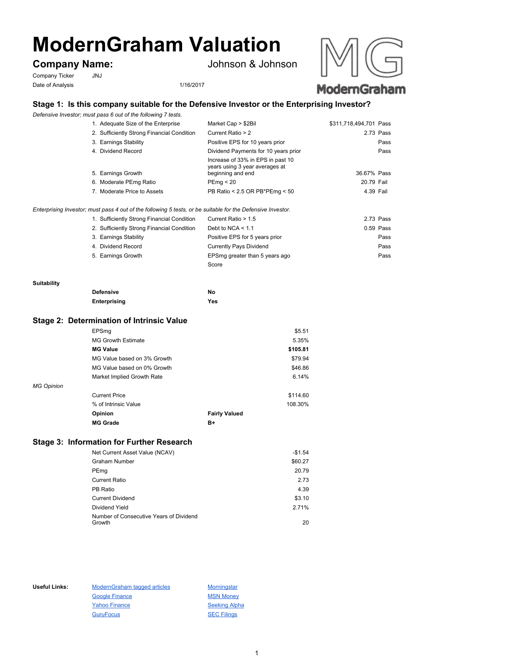# **ModernGraham Valuation**

# **Company Name:** Johnson & Johnson

Company Ticker JNJ Date of Analysis 1/16/2017



# **Stage 1: Is this company suitable for the Defensive Investor or the Enterprising Investor?**

*Defensive Investor; must pass 6 out of the following 7 tests.*

| 1. Adequate Size of the Enterprise                                                                          | Market Cap > \$2Bil                                                                      | \$311,718,494,701 Pass |             |
|-------------------------------------------------------------------------------------------------------------|------------------------------------------------------------------------------------------|------------------------|-------------|
| 2. Sufficiently Strong Financial Condition                                                                  | Current Ratio > 2                                                                        |                        | 2.73 Pass   |
| 3. Earnings Stability                                                                                       | Positive EPS for 10 years prior                                                          |                        | Pass        |
| 4. Dividend Record                                                                                          | Dividend Payments for 10 years prior                                                     |                        | Pass        |
| 5. Earnings Growth                                                                                          | Increase of 33% in EPS in past 10<br>years using 3 year averages at<br>beginning and end | 36.67% Pass            |             |
| 6. Moderate PEmg Ratio                                                                                      | PEmq < 20                                                                                | 20.79 Fail             |             |
| 7. Moderate Price to Assets                                                                                 | PB Ratio < 2.5 OR PB*PEmg < 50                                                           | 4.39 Fail              |             |
| Enterprising Investor; must pass 4 out of the following 5 tests, or be suitable for the Defensive Investor. |                                                                                          |                        |             |
| 1. Sufficiently Strong Financial Condition                                                                  | Current Ratio > 1.5                                                                      |                        | 2.73 Pass   |
| 2. Sufficiently Strong Financial Condition                                                                  | Debt to NCA $\leq 1.1$                                                                   |                        | $0.59$ Pass |
| 3. Earnings Stability                                                                                       | Positive EPS for 5 years prior                                                           |                        | Pass        |
| 4. Dividend Record                                                                                          | Currently Pays Dividend                                                                  |                        | Pass        |
| 5. Earnings Growth                                                                                          | EPSmg greater than 5 years ago                                                           |                        | Pass        |

Score

#### **Suitability**

| <b>Defensive</b> | No  |
|------------------|-----|
| Enterprising     | Yes |

#### **Stage 2: Determination of Intrinsic Value**

| EPSmq                           | \$5.51   |
|---------------------------------|----------|
| <b>MG Growth Estimate</b>       | 5.35%    |
| <b>MG Value</b>                 | \$105.81 |
| MG Value based on 3% Growth     | \$79.94  |
| MG Value based on 0% Growth     | \$46.86  |
| Market Implied Growth Rate      | 6.14%    |
| <b>MG Opinion</b>               |          |
| <b>Current Price</b>            | \$114.60 |
| % of Intrinsic Value            | 108.30%  |
| Opinion<br><b>Fairly Valued</b> |          |
| <b>MG Grade</b><br>B+           |          |

# **Stage 3: Information for Further Research**

| Net Current Asset Value (NCAV)                    | $-$1.54$ |
|---------------------------------------------------|----------|
| Graham Number                                     | \$60.27  |
| PEmg                                              | 20.79    |
| <b>Current Ratio</b>                              | 2.73     |
| PB Ratio                                          | 4.39     |
| <b>Current Dividend</b>                           | \$3.10   |
| Dividend Yield                                    | 2.71%    |
| Number of Consecutive Years of Dividend<br>Growth | 20       |
|                                                   |          |

Useful Links: ModernGraham tagged articles Morningstar Google Finance MSN Money Yahoo Finance Seeking Alpha GuruFocus 30 SEC Filings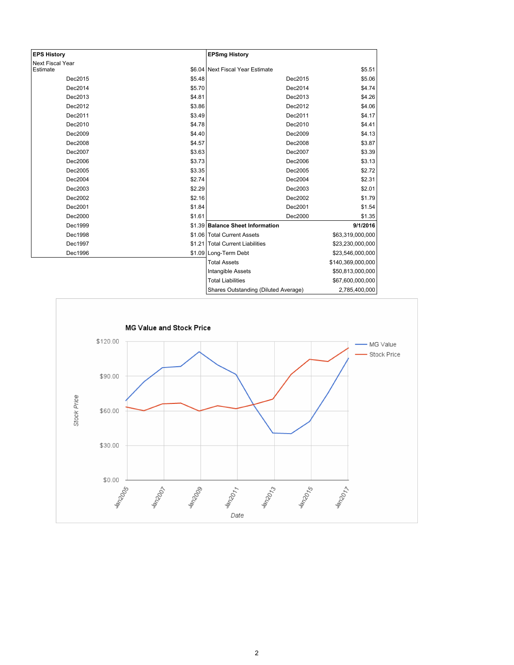| <b>EPS History</b>      |        | <b>EPSmg History</b>                 |                   |
|-------------------------|--------|--------------------------------------|-------------------|
| <b>Next Fiscal Year</b> |        |                                      |                   |
| Estimate                |        | \$6.04 Next Fiscal Year Estimate     | \$5.51            |
| Dec2015                 | \$5.48 | Dec2015                              | \$5.06            |
| Dec2014                 | \$5.70 | Dec2014                              | \$4.74            |
| Dec2013                 | \$4.81 | Dec2013                              | \$4.26            |
| Dec2012                 | \$3.86 | Dec2012                              | \$4.06            |
| Dec2011                 | \$3.49 | Dec2011                              | \$4.17            |
| Dec2010                 | \$4.78 | Dec2010                              | \$4.41            |
| Dec2009                 | \$4.40 | Dec2009                              | \$4.13            |
| Dec2008                 | \$4.57 | Dec2008                              | \$3.87            |
| Dec2007                 | \$3.63 | Dec2007                              | \$3.39            |
| Dec2006                 | \$3.73 | Dec2006                              | \$3.13            |
| Dec2005                 | \$3.35 | Dec2005                              | \$2.72            |
| Dec2004                 | \$2.74 | Dec2004                              | \$2.31            |
| Dec2003                 | \$2.29 | Dec2003                              | \$2.01            |
| Dec2002                 | \$2.16 | Dec2002                              | \$1.79            |
| Dec2001                 | \$1.84 | Dec2001                              | \$1.54            |
| Dec2000                 | \$1.61 | Dec2000                              | \$1.35            |
| Dec1999                 |        | \$1.39 Balance Sheet Information     | 9/1/2016          |
| Dec1998                 |        | \$1.06 Total Current Assets          | \$63,319,000,000  |
| Dec1997                 |        | \$1.21   Total Current Liabilities   | \$23,230,000,000  |
| Dec1996                 |        | \$1.09 Long-Term Debt                | \$23,546,000,000  |
|                         |        | <b>Total Assets</b>                  | \$140,369,000,000 |
|                         |        | Intangible Assets                    | \$50,813,000,000  |
|                         |        | <b>Total Liabilities</b>             | \$67,600,000,000  |
|                         |        | Shares Outstanding (Diluted Average) | 2,785,400,000     |